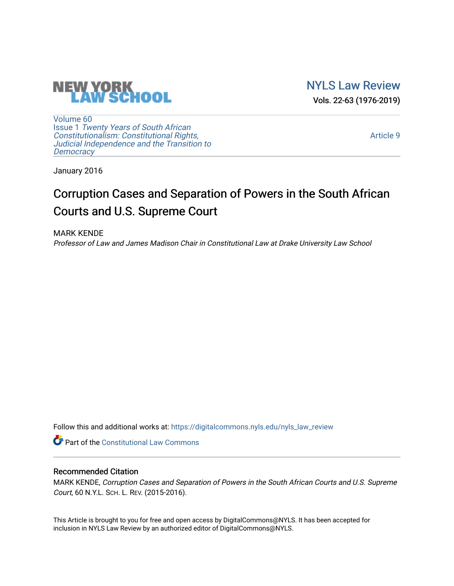

[NYLS Law Review](https://digitalcommons.nyls.edu/nyls_law_review)  Vols. 22-63 (1976-2019)

[Volume 60](https://digitalcommons.nyls.edu/nyls_law_review/vol60) Issue 1 [Twenty Years of South African](https://digitalcommons.nyls.edu/nyls_law_review/vol60/iss1) [Constitutionalism: Constitutional Rights,](https://digitalcommons.nyls.edu/nyls_law_review/vol60/iss1)  [Judicial Independence and the Transition to](https://digitalcommons.nyls.edu/nyls_law_review/vol60/iss1)  **[Democracy](https://digitalcommons.nyls.edu/nyls_law_review/vol60/iss1)** 

[Article 9](https://digitalcommons.nyls.edu/nyls_law_review/vol60/iss1/9) 

January 2016

# Corruption Cases and Separation of Powers in the South African Courts and U.S. Supreme Court

MARK KENDE Professor of Law and James Madison Chair in Constitutional Law at Drake University Law School

Follow this and additional works at: [https://digitalcommons.nyls.edu/nyls\\_law\\_review](https://digitalcommons.nyls.edu/nyls_law_review?utm_source=digitalcommons.nyls.edu%2Fnyls_law_review%2Fvol60%2Fiss1%2F9&utm_medium=PDF&utm_campaign=PDFCoverPages) 

**Part of the Constitutional Law Commons** 

# Recommended Citation

MARK KENDE, Corruption Cases and Separation of Powers in the South African Courts and U.S. Supreme Court, 60 N.Y.L. SCH. L. REV. (2015-2016).

This Article is brought to you for free and open access by DigitalCommons@NYLS. It has been accepted for inclusion in NYLS Law Review by an authorized editor of DigitalCommons@NYLS.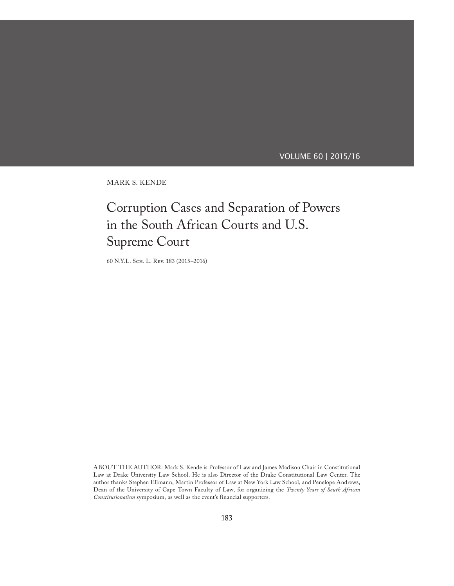# VOLUME 60 | 2015/16

Mark S. Kende

# Corruption Cases and Separation of Powers in the South African Courts and U.S. Supreme Court

60 N.Y.L. Sch. L. Rev. 183 (2015–2016)

ABOUT THE AUTHOR: Mark S. Kende is Professor of Law and James Madison Chair in Constitutional Law at Drake University Law School. He is also Director of the Drake Constitutional Law Center. The author thanks Stephen Ellmann, Martin Professor of Law at New York Law School, and Penelope Andrews, Dean of the University of Cape Town Faculty of Law, for organizing the *Twenty Years of South African Constitutionalism* symposium, as well as the event's financial supporters.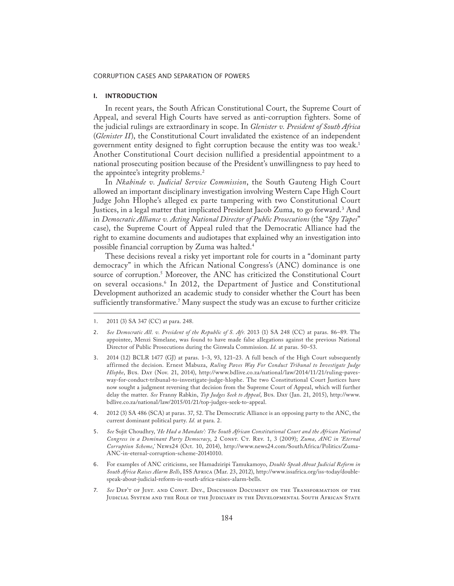## I. INTRODUCTION

In recent years, the South African Constitutional Court, the Supreme Court of Appeal, and several High Courts have served as anti-corruption fighters. Some of the judicial rulings are extraordinary in scope. In *Glenister v. President of South Africa* (*Glenister II*), the Constitutional Court invalidated the existence of an independent government entity designed to fight corruption because the entity was too weak.1 Another Constitutional Court decision nullified a presidential appointment to a national prosecuting position because of the President's unwillingness to pay heed to the appointee's integrity problems.<sup>2</sup>

In *Nkabinde v. Judicial Service Commission*, the South Gauteng High Court allowed an important disciplinary investigation involving Western Cape High Court Judge John Hlophe's alleged ex parte tampering with two Constitutional Court Justices, in a legal matter that implicated President Jacob Zuma, to go forward.<sup>3</sup> And in *Democratic Alliance v. Acting National Director of Public Prosecutions* (the "*Spy Tapes*" case), the Supreme Court of Appeal ruled that the Democratic Alliance had the right to examine documents and audiotapes that explained why an investigation into possible financial corruption by Zuma was halted.4

These decisions reveal a risky yet important role for courts in a "dominant party democracy" in which the African National Congress's (ANC) dominance is one source of corruption.5 Moreover, the ANC has criticized the Constitutional Court on several occasions.6 In 2012, the Department of Justice and Constitutional Development authorized an academic study to consider whether the Court has been sufficiently transformative.<sup>7</sup> Many suspect the study was an excuse to further criticize

- 2. See Democratic All. v. President of the Republic of S. Afr. 2013 (1) SA 248 (CC) at paras. 86–89. The appointee, Menzi Simelane, was found to have made false allegations against the previous National Director of Public Prosecutions during the Ginwala Commission. *Id.* at paras. 50–53.
- 3. 2014 (12) BCLR 1477 (GJ) at paras. 1–3, 93, 121–23. A full bench of the High Court subsequently affirmed the decision. Ernest Mabuza, *Ruling Paves Way For Conduct Tribunal to Investigate Judge Hlophe*, Bus. Day (Nov. 21, 2014), http://www.bdlive.co.za/national/law/2014/11/21/ruling-pavesway-for-conduct-tribunal-to-investigate-judge-hlophe. The two Constitutional Court Justices have now sought a judgment reversing that decision from the Supreme Court of Appeal, which will further delay the matter. *See* Franny Rabkin, *Top Judges Seek to Appeal*, Bus. Day (Jan. 21, 2015), http://www. bdlive.co.za/national/law/2015/01/21/top-judges-seek-to-appeal.
- 4. 2012 (3) SA 486 (SCA) at paras. 37, 52. The Democratic Alliance is an opposing party to the ANC, the current dominant political party. *Id.* at para. 2.
- 5. *See* Sujit Choudhry, '*He Had a Mandate': The South African Constitutional Court and the African National Congress in a Dominant Party Democracy*, 2 Const. Ct. Rev. 1, 3 (2009); *Zuma, ANC in 'Eternal Corruption Scheme*,*'* News24 (Oct. 10, 2014), http://www.news24.com/SouthAfrica/Politics/Zuma-ANC-in-eternal-corruption-scheme-20141010.
- 6. For examples of ANC criticisms, see Hamadziripi Tamukamoyo, *Double Speak About Judicial Reform in South Africa Raises Alarm Bells*, ISS Africa (Mar. 23, 2012), http://www.issafrica.org/iss-today/doublespeak-about-judicial-reform-in-south-africa-raises-alarm-bells.
- 7. *See* Dep't of Just. and Const. Dev., Discussion Document on the Transformation of the JUDICIAL SYSTEM AND THE ROLE OF THE JUDICIARY IN THE DEVELOPMENTAL SOUTH AFRICAN STATE

<sup>1.</sup> 2011 (3) SA 347 (CC) at para. 248.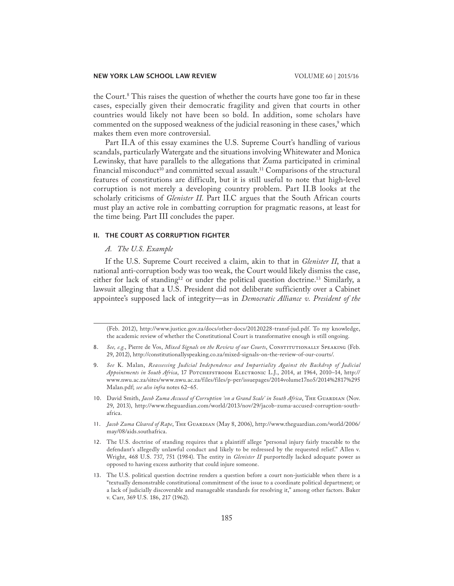the Court.8 This raises the question of whether the courts have gone too far in these cases, especially given their democratic fragility and given that courts in other countries would likely not have been so bold. In addition, some scholars have commented on the supposed weakness of the judicial reasoning in these cases,<sup>9</sup> which makes them even more controversial.

Part II.A of this essay examines the U.S. Supreme Court's handling of various scandals, particularly Watergate and the situations involving Whitewater and Monica Lewinsky, that have parallels to the allegations that Zuma participated in criminal financial misconduct<sup>10</sup> and committed sexual assault.<sup>11</sup> Comparisons of the structural features of constitutions are difficult, but it is still useful to note that high-level corruption is not merely a developing country problem. Part II.B looks at the scholarly criticisms of *Glenister II*. Part II.C argues that the South African courts must play an active role in combatting corruption for pragmatic reasons, at least for the time being. Part III concludes the paper.

#### II. The Court as Corruption Fighter

# *A. The U.S. Example*

If the U.S. Supreme Court received a claim, akin to that in *Glenister II*, that a national anti-corruption body was too weak, the Court would likely dismiss the case, either for lack of standing<sup>12</sup> or under the political question doctrine.<sup>13</sup> Similarly, a lawsuit alleging that a U.S. President did not deliberate sufficiently over a Cabinet appointee's supposed lack of integrity—as in *Democratic Alliance v. President of the* 

(Feb. 2012), http://www.justice.gov.za/docs/other-docs/20120228-transf-jud.pdf. To my knowledge, the academic review of whether the Constitutional Court is transformative enough is still ongoing.

- 9. *See* K. Malan, *Reassessing Judicial Independence and Impartiality Against the Backdrop of Judicial Appointments in South Africa*, 17 Potchefstroom Electronic L.J., 2014, at 1964, 2010–14, http:// www.nwu.ac.za/sites/www.nwu.ac.za/files/files/p-per/issuepages/2014volume17no5/2014%2817%295 Malan.pdf; *see also infra* notes 62–65.
- 10. David Smith, *Jacob Zuma Accused of Corruption 'on a Grand Scale' in South Africa*, THE GUARDIAN (Nov. 29, 2013), http://www.theguardian.com/world/2013/nov/29/jacob-zuma-accused-corruption-southafrica.
- 11. *Jacob Zuma Cleared of Rape*, The Guardian (May 8, 2006), http://www.theguardian.com/world/2006/ may/08/aids.southafrica.
- 12. The U.S. doctrine of standing requires that a plaintiff allege "personal injury fairly traceable to the defendant's allegedly unlawful conduct and likely to be redressed by the requested relief." Allen v. Wright, 468 U.S. 737, 751 (1984). The entity in *Glenister II* purportedly lacked adequate power as opposed to having excess authority that could injure someone.
- 13. The U.S. political question doctrine renders a question before a court non-justiciable when there is a "textually demonstrable constitutional commitment of the issue to a coordinate political department; or a lack of judicially discoverable and manageable standards for resolving it," among other factors. Baker v. Carr, 369 U.S. 186, 217 (1962).

<sup>8.</sup> See, e.g., Pierre de Vos, *Mixed Signals on the Review of our Courts*, CONSTITUTIONALLY SPEAKING (Feb. 29, 2012), http://constitutionallyspeaking.co.za/mixed-signals-on-the-review-of-our-courts/.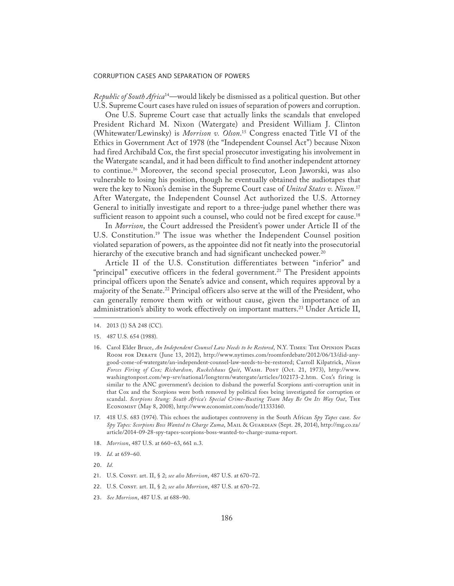*Republic of South Africa*14—would likely be dismissed as a political question. But other U.S. Supreme Court cases have ruled on issues of separation of powers and corruption.

One U.S. Supreme Court case that actually links the scandals that enveloped President Richard M. Nixon (Watergate) and President William J. Clinton (Whitewater/Lewinsky) is *Morrison v. Olson*. 15 Congress enacted Title VI of the Ethics in Government Act of 1978 (the "Independent Counsel Act") because Nixon had fired Archibald Cox, the first special prosecutor investigating his involvement in the Watergate scandal, and it had been difficult to find another independent attorney to continue.16 Moreover, the second special prosecutor, Leon Jaworski, was also vulnerable to losing his position, though he eventually obtained the audiotapes that were the key to Nixon's demise in the Supreme Court case of *United States v. Nixon.*<sup>17</sup> After Watergate, the Independent Counsel Act authorized the U.S. Attorney General to initially investigate and report to a three-judge panel whether there was sufficient reason to appoint such a counsel, who could not be fired except for cause.<sup>18</sup>

In *Morrison*, the Court addressed the President's power under Article II of the U.S. Constitution.<sup>19</sup> The issue was whether the Independent Counsel position violated separation of powers, as the appointee did not fit neatly into the prosecutorial hierarchy of the executive branch and had significant unchecked power.<sup>20</sup>

Article II of the U.S. Constitution differentiates between "inferior" and "principal" executive officers in the federal government.<sup>21</sup> The President appoints principal officers upon the Senate's advice and consent, which requires approval by a majority of the Senate.22 Principal officers also serve at the will of the President, who can generally remove them with or without cause, given the importance of an administration's ability to work effectively on important matters.<sup>23</sup> Under Article II,

- 16. Carol Elder Bruce, *An Independent Counsel Law Needs to be Restored*, N.Y. Times: The Opinion Pages Room for Debate (June 13, 2012), http://www.nytimes.com/roomfordebate/2012/06/13/did-anygood-come-of-watergate/an-independent-counsel-law-needs-to-be-restored; Carroll Kilpatrick, *Nixon*  Forces Firing of Cox; Richardson, Ruckelshaus Quit, WASH. POST (Oct. 21, 1973), http://www. washingtonpost.com/wp-srv/national/longterm/watergate/articles/102173-2.htm. Cox's firing is similar to the ANC government's decision to disband the powerful Scorpions anti-corruption unit in that Cox and the Scorpions were both removed by political foes being investigated for corruption or scandal. *Scorpions Stung: South Africa's Special Crime-Busting Team May Be On Its Way Out*, The Economist (May 8, 2008), http://www.economist.com/node/11333160.
- 17. 418 U.S. 683 (1974). This echoes the audiotapes controversy in the South African *Spy Tapes* case. *See Spy Tapes: Scorpions Boss Wanted to Charge Zuma*, Mail & Guardian (Sept. 28, 2014), http://mg.co.za/ article/2014-09-28-spy-tapes-scorpions-boss-wanted-to-charge-zuma-report.
- 18. *Morrison*, 487 U.S. at 660–63, 661 n.3.
- 19. *Id.* at 659–60.
- 20. *Id.*
- 21. U.S. Const. art. II, § 2; see also Morrison, 487 U.S. at 670-72.
- 22. U.S. Const. art. II, § 2; *see also Morrison*, 487 U.S. at 670–72.
- 23. *See Morrison*, 487 U.S. at 688–90.

<sup>14.</sup> 2013 (1) SA 248 (CC).

<sup>15.</sup> 487 U.S. 654 (1988).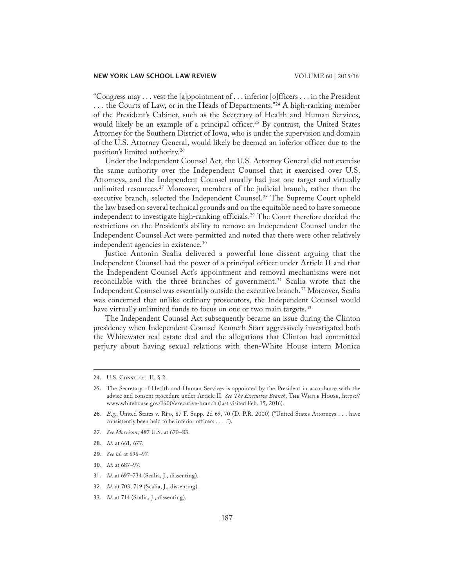"Congress may . . . vest the [a]ppointment of . . . inferior [o]fficers . . . in the President ... the Courts of Law, or in the Heads of Departments."<sup>24</sup> A high-ranking member of the President's Cabinet, such as the Secretary of Health and Human Services, would likely be an example of a principal officer.<sup>25</sup> By contrast, the United States Attorney for the Southern District of Iowa, who is under the supervision and domain of the U.S. Attorney General, would likely be deemed an inferior officer due to the position's limited authority.26

Under the Independent Counsel Act, the U.S. Attorney General did not exercise the same authority over the Independent Counsel that it exercised over U.S. Attorneys, and the Independent Counsel usually had just one target and virtually unlimited resources.<sup>27</sup> Moreover, members of the judicial branch, rather than the executive branch, selected the Independent Counsel.<sup>28</sup> The Supreme Court upheld the law based on several technical grounds and on the equitable need to have someone independent to investigate high-ranking officials.29 The Court therefore decided the restrictions on the President's ability to remove an Independent Counsel under the Independent Counsel Act were permitted and noted that there were other relatively independent agencies in existence.<sup>30</sup>

Justice Antonin Scalia delivered a powerful lone dissent arguing that the Independent Counsel had the power of a principal officer under Article II and that the Independent Counsel Act's appointment and removal mechanisms were not reconcilable with the three branches of government.<sup>31</sup> Scalia wrote that the Independent Counsel was essentially outside the executive branch.32 Moreover, Scalia was concerned that unlike ordinary prosecutors, the Independent Counsel would have virtually unlimited funds to focus on one or two main targets.<sup>33</sup>

The Independent Counsel Act subsequently became an issue during the Clinton presidency when Independent Counsel Kenneth Starr aggressively investigated both the Whitewater real estate deal and the allegations that Clinton had committed perjury about having sexual relations with then-White House intern Monica

- 27. *See Morrison*, 487 U.S. at 670–83.
- 28. *Id.* at 661, 677.
- 29. *See id.* at 696–97.
- 30. *Id.* at 687–97.
- 31. *Id.* at 697–734 (Scalia, J., dissenting).
- 32. *Id.* at 703, 719 (Scalia, J., dissenting).
- 33. *Id.* at 714 (Scalia, J., dissenting).

<sup>24.</sup> U.S. CONST. art. II, § 2.

<sup>25.</sup> The Secretary of Health and Human Services is appointed by the President in accordance with the advice and consent procedure under Article II. *See The Executive Branch*, The White House, https:// www.whitehouse.gov/1600/executive-branch (last visited Feb. 15, 2016).

<sup>26.</sup> *E.g.*, United States v. Rijo, 87 F. Supp. 2d 69, 70 (D. P.R. 2000) ("United States Attorneys . . . have consistently been held to be inferior officers . . . .").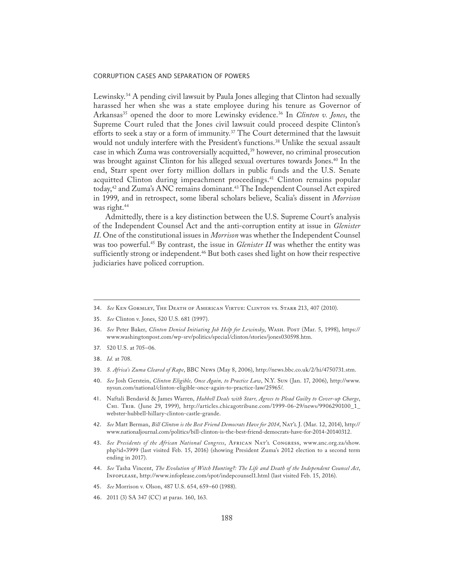Lewinsky.<sup>34</sup> A pending civil lawsuit by Paula Jones alleging that Clinton had sexually harassed her when she was a state employee during his tenure as Governor of Arkansas<sup>35</sup> opened the door to more Lewinsky evidence.<sup>36</sup> In *Clinton v. Jones*, the Supreme Court ruled that the Jones civil lawsuit could proceed despite Clinton's efforts to seek a stay or a form of immunity.<sup>37</sup> The Court determined that the lawsuit would not unduly interfere with the President's functions.38 Unlike the sexual assault case in which Zuma was controversially acquitted,<sup>39</sup> however, no criminal prosecution was brought against Clinton for his alleged sexual overtures towards Jones.<sup>40</sup> In the end, Starr spent over forty million dollars in public funds and the U.S. Senate acquitted Clinton during impeachment proceedings.<sup>41</sup> Clinton remains popular today,<sup>42</sup> and Zuma's ANC remains dominant.<sup>43</sup> The Independent Counsel Act expired in 1999, and in retrospect, some liberal scholars believe, Scalia's dissent in *Morrison* was right.<sup>44</sup>

Admittedly, there is a key distinction between the U.S. Supreme Court's analysis of the Independent Counsel Act and the anti-corruption entity at issue in *Glenister II*. One of the constitutional issues in *Morrison* was whether the Independent Counsel was too powerful.45 By contrast, the issue in *Glenister II* was whether the entity was sufficiently strong or independent.<sup>46</sup> But both cases shed light on how their respective judiciaries have policed corruption.

- 34. *See* Ken Gormley, The Death of American Virtue: Clinton vs. Starr 213, 407 (2010).
- 35. *See* Clinton v. Jones, 520 U.S. 681 (1997).
- 36. *See* Peter Baker, *Clinton Denied Initiating Job Help for Lewinsky*, Wash. Post (Mar. 5, 1998), https:// www.washingtonpost.com/wp-srv/politics/special/clinton/stories/jones030598.htm.
- 37. 520 U.S. at 705–06*.*
- 38. *Id.* at 708.
- 39. *S. Africa's Zuma Cleared of Rape*, BBC News (May 8, 2006), http://news.bbc.co.uk/2/hi/4750731.stm.
- 40. *See* Josh Gerstein, *Clinton Eligible, Once Again, to Practice Law*, N.Y. Sun (Jan. 17, 2006), http://www. nysun.com/national/clinton-eligible-once-again-to-practice-law/25965/.
- 41. Naftali Bendavid & James Warren, *Hubbell Deals with Starr, Agrees to Plead Guilty to Cover-up Charge*, Chi. Trib. (June 29, 1999), http://articles.chicagotribune.com/1999-06-29/news/9906290100\_1\_ webster-hubbell-hillary-clinton-castle-grande.
- 42. *See* Matt Berman, *Bill Clinton is the Best Friend Democrats Have for 2014*, Nat'l J. (Mar. 12, 2014), http:// www.nationaljournal.com/politics/bill-clinton-is-the-best-friend-democrats-have-for-2014-20140312.
- 43. *See Presidents of the African National Congress*, African Nat'l Congress, www.anc.org.za/show. php?id=3999 (last visited Feb. 15, 2016) (showing President Zuma's 2012 election to a second term ending in 2017).
- 44. *See* Tasha Vincent, *The Evolution of Witch Hunting?: The Life and Death of the Independent Counsel Act*, Infoplease, http://www.infoplease.com/spot/indepcounsel1.html (last visited Feb. 15, 2016).
- 45. *See* Morrison v. Olson, 487 U.S. 654, 659–60 (1988).
- 46. 2011 (3) SA 347 (CC) at paras. 160, 163.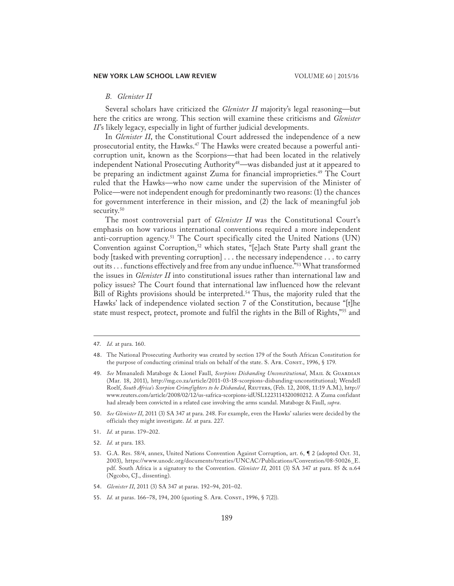## *B. Glenister II*

Several scholars have criticized the *Glenister II* majority's legal reasoning—but here the critics are wrong. This section will examine these criticisms and *Glenister II*'s likely legacy, especially in light of further judicial developments.

In *Glenister II*, the Constitutional Court addressed the independence of a new prosecutorial entity, the Hawks.<sup>47</sup> The Hawks were created because a powerful anticorruption unit, known as the Scorpions—that had been located in the relatively independent National Prosecuting Authority<sup>48</sup>—was disbanded just at it appeared to be preparing an indictment against Zuma for financial improprieties.49 The Court ruled that the Hawks—who now came under the supervision of the Minister of Police—were not independent enough for predominantly two reasons: (1) the chances for government interference in their mission, and (2) the lack of meaningful job security.<sup>50</sup>

The most controversial part of *Glenister II* was the Constitutional Court's emphasis on how various international conventions required a more independent anti-corruption agency.<sup>51</sup> The Court specifically cited the United Nations (UN) Convention against Corruption,<sup>52</sup> which states, "[e]ach State Party shall grant the body [tasked with preventing corruption] . . . the necessary independence . . . to carry out its . . . functions effectively and free from any undue influence."53 What transformed the issues in *Glenister II* into constitutional issues rather than international law and policy issues? The Court found that international law influenced how the relevant Bill of Rights provisions should be interpreted.<sup>54</sup> Thus, the majority ruled that the Hawks' lack of independence violated section 7 of the Constitution, because "[t]he state must respect, protect, promote and fulfil the rights in the Bill of Rights,"<sup>55</sup> and

- 51. *Id.* at paras. 179–202.
- 52. *Id.* at para. 183.
- 53. G.A. Res. 58/4, annex, United Nations Convention Against Corruption, art. 6, ¶ 2 (adopted Oct. 31, 2003), https://www.unodc.org/documents/treaties/UNCAC/Publications/Convention/08-50026\_E. pdf. South Africa is a signatory to the Convention. *Glenister II*, 2011 (3) SA 347 at para. 85 & n.64 (Ngcobo, CJ., dissenting).
- 54. *Glenister II*, 2011 (3) SA 347 at paras. 192–94, 201–02.
- 55. *Id.* at paras. 166-78, 194, 200 (quoting S. AFR. CONST., 1996, § 7(2)).

<sup>47.</sup> *Id.* at para. 160.

<sup>48.</sup> The National Prosecuting Authority was created by section 179 of the South African Constitution for the purpose of conducting criminal trials on behalf of the state. S. AFR. CONST., 1996, § 179.

<sup>49.</sup> See Mmanaledi Mataboge & Lionel Faull, Scorpions Disbanding Unconstitutional, MAIL & GUARDIAN (Mar. 18, 2011), http://mg.co.za/article/2011-03-18-scorpions-disbanding-unconstitutional; Wendell Roelf, *South Africa's Scorpion Crimefighters to be Disbanded*, Reuters, (Feb. 12, 2008, 11:19 A.M.), http:// www.reuters.com/article/2008/02/12/us-safrica-scorpions-idUSL1223114320080212. A Zuma confidant had already been convicted in a related case involving the arms scandal. Mataboge & Faull, *supra*.

<sup>50.</sup> *See Glenister II*, 2011 (3) SA 347 at para. 248. For example, even the Hawks' salaries were decided by the officials they might investigate. *Id.* at para. 227.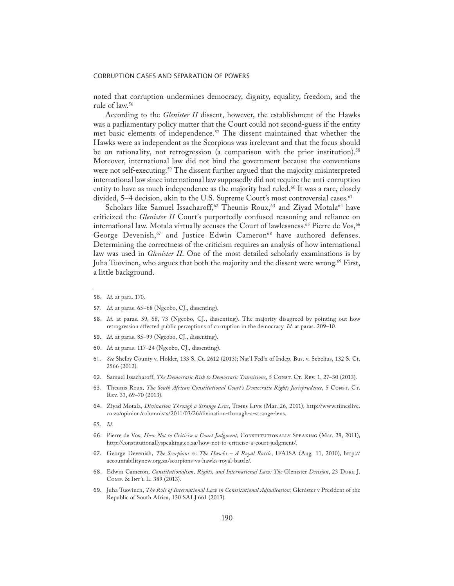noted that corruption undermines democracy, dignity, equality, freedom, and the rule of law.56

According to the *Glenister II* dissent, however, the establishment of the Hawks was a parliamentary policy matter that the Court could not second-guess if the entity met basic elements of independence.57 The dissent maintained that whether the Hawks were as independent as the Scorpions was irrelevant and that the focus should be on rationality, not retrogression (a comparison with the prior institution).<sup>58</sup> Moreover, international law did not bind the government because the conventions were not self-executing.<sup>59</sup> The dissent further argued that the majority misinterpreted international law since international law supposedly did not require the anti-corruption entity to have as much independence as the majority had ruled.<sup>60</sup> It was a rare, closely divided, 5-4 decision, akin to the U.S. Supreme Court's most controversial cases.<sup>61</sup>

Scholars like Samuel Issacharoff,<sup>62</sup> Theunis Roux,<sup>63</sup> and Ziyad Motala<sup>64</sup> have criticized the *Glenister II* Court's purportedly confused reasoning and reliance on international law. Motala virtually accuses the Court of lawlessness.<sup>65</sup> Pierre de Vos,<sup>66</sup> George Devenish,<sup>67</sup> and Justice Edwin Cameron<sup>68</sup> have authored defenses. Determining the correctness of the criticism requires an analysis of how international law was used in *Glenister II*. One of the most detailed scholarly examinations is by Juha Tuovinen, who argues that both the majority and the dissent were wrong.69 First, a little background.

- 58. *Id.* at paras. 59, 68, 73 (Ngcobo, CJ., dissenting). The majority disagreed by pointing out how retrogression affected public perceptions of corruption in the democracy*. Id.* at paras. 209–10*.*
- 59. *Id.* at paras. 85–99 (Ngcobo, CJ., dissenting).
- 60. *Id.* at paras. 117–24 (Ngcobo, CJ., dissenting).
- 61. *See* Shelby County v. Holder, 133 S. Ct. 2612 (2013); Nat'l Fed'n of Indep. Bus. v. Sebelius, 132 S. Ct. 2566 (2012).
- 62. Samuel Issacharoff, *The Democratic Risk to Democratic Transitions*, 5 Constr. Ct. Rev. 1, 27-30 (2013).
- 63. Theunis Roux, *The South African Constitutional Court's Democratic Rights Jurisprudence*, 5 Const. Ct. Rev. 33, 69–70 (2013).
- 64. Ziyad Motala, *Divination Through a Strange Lens*, Times Live (Mar. 26, 2011), http://www.timeslive. co.za/opinion/columnists/2011/03/26/divination-through-a-strange-lens.
- 65. *Id.*
- 66. Pierre de Vos, *How Not to Criticise a Court Judgment,* Constitutionally Speaking (Mar. 28, 2011), http://constitutionallyspeaking.co.za/how-not-to-criticise-a-court-judgment/.
- 67. George Devenish, *The Scorpions vs The Hawks A Royal Battle*, IFAISA (Aug. 11, 2010), http:// accountabilitynow.org.za/scorpions-vs-hawks-royal-battle/.
- 68. Edwin Cameron, *Constitutionalism, Rights, and International Law: The* Glenister *Decision*, 23 Duke J. Comp. & Int'l L. 389 (2013).
- 69. Juha Tuovinen, *The Role of International Law in Constitutional Adjudication:* Glenister v President of the Republic of South Africa, 130 SALJ 661 (2013).

<sup>56.</sup> *Id.* at para. 170.

<sup>57.</sup> *Id.* at paras. 65–68 (Ngcobo, CJ., dissenting).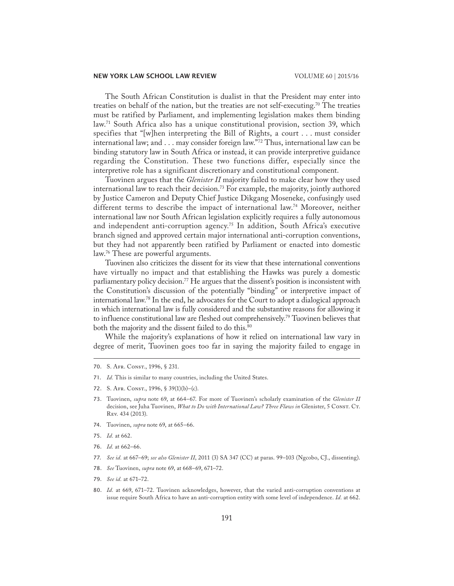The South African Constitution is dualist in that the President may enter into treaties on behalf of the nation, but the treaties are not self-executing.<sup>70</sup> The treaties must be ratified by Parliament, and implementing legislation makes them binding law.<sup>71</sup> South Africa also has a unique constitutional provision, section 39, which specifies that "[w]hen interpreting the Bill of Rights, a court . . . must consider international law; and . . . may consider foreign law."72 Thus, international law can be binding statutory law in South Africa or instead, it can provide interpretive guidance regarding the Constitution. These two functions differ, especially since the interpretive role has a significant discretionary and constitutional component.

Tuovinen argues that the *Glenister II* majority failed to make clear how they used international law to reach their decision.73 For example, the majority, jointly authored by Justice Cameron and Deputy Chief Justice Dikgang Moseneke, confusingly used different terms to describe the impact of international law.<sup>74</sup> Moreover, neither international law nor South African legislation explicitly requires a fully autonomous and independent anti-corruption agency.<sup>75</sup> In addition, South Africa's executive branch signed and approved certain major international anti-corruption conventions, but they had not apparently been ratified by Parliament or enacted into domestic law.76 These are powerful arguments.

Tuovinen also criticizes the dissent for its view that these international conventions have virtually no impact and that establishing the Hawks was purely a domestic parliamentary policy decision.<sup>77</sup> He argues that the dissent's position is inconsistent with the Constitution's discussion of the potentially "binding" or interpretive impact of international law.78 In the end, he advocates for the Court to adopt a dialogical approach in which international law is fully considered and the substantive reasons for allowing it to influence constitutional law are fleshed out comprehensively.<sup>79</sup> Tuovinen believes that both the majority and the dissent failed to do this.<sup>80</sup>

While the majority's explanations of how it relied on international law vary in degree of merit, Tuovinen goes too far in saying the majority failed to engage in

71. *Id.* This is similar to many countries, including the United States.

- 74. Tuovinen, *supra* note 69, at 665–66.
- 75. *Id.* at 662.
- 76. *Id.* at 662–66.
- 77. *See id.* at 667–69; *see also Glenister II*, 2011 (3) SA 347 (CC) at paras. 99–103 (Ngcobo, CJ., dissenting).
- 78. *See* Tuovinen, *supra* note 69, at 668–69, 671–72.
- 79. *See id.* at 671–72.
- 80. *Id.* at 669, 671–72. Tuovinen acknowledges, however, that the varied anti-corruption conventions at issue require South Africa to have an anti-corruption entity with some level of independence. *Id.* at 662.

<sup>70.</sup> S. Afr. Const., 1996, § 231.

<sup>72.</sup> S. Afr. Const., 1996, § 39(1)(b)–(c).

<sup>73.</sup> Tuovinen, *supra* note 69, at 664–67. For more of Tuovinen's scholarly examination of the *Glenister II*  decision, see Juha Tuovinen, *What to Do with International Law? Three Flaws in* Glenister, 5 Const. Ct. Rev. 434 (2013).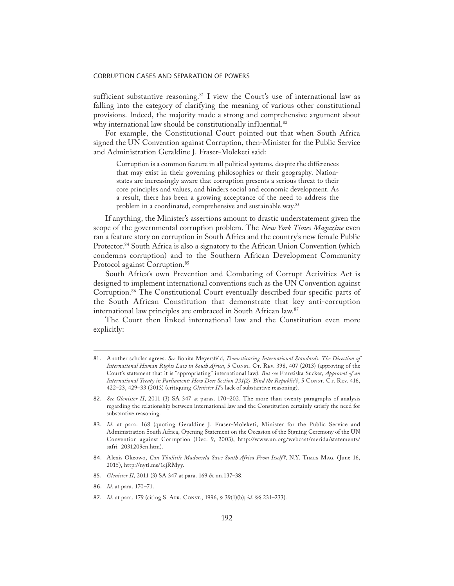sufficient substantive reasoning.<sup>81</sup> I view the Court's use of international law as falling into the category of clarifying the meaning of various other constitutional provisions. Indeed, the majority made a strong and comprehensive argument about why international law should be constitutionally influential.<sup>82</sup>

For example, the Constitutional Court pointed out that when South Africa signed the UN Convention against Corruption, then-Minister for the Public Service and Administration Geraldine J. Fraser-Moleketi said:

Corruption is a common feature in all political systems, despite the differences that may exist in their governing philosophies or their geography. Nationstates are increasingly aware that corruption presents a serious threat to their core principles and values, and hinders social and economic development. As a result, there has been a growing acceptance of the need to address the problem in a coordinated, comprehensive and sustainable way.<sup>83</sup>

If anything, the Minister's assertions amount to drastic understatement given the scope of the governmental corruption problem. The *New York Times Magazine* even ran a feature story on corruption in South Africa and the country's new female Public Protector.<sup>84</sup> South Africa is also a signatory to the African Union Convention (which condemns corruption) and to the Southern African Development Community Protocol against Corruption.<sup>85</sup>

South Africa's own Prevention and Combating of Corrupt Activities Act is designed to implement international conventions such as the UN Convention against Corruption.86 The Constitutional Court eventually described four specific parts of the South African Constitution that demonstrate that key anti-corruption international law principles are embraced in South African law.87

The Court then linked international law and the Constitution even more explicitly:

- 82. *See Glenister II*, 2011 (3) SA 347 at paras. 170–202. The more than twenty paragraphs of analysis regarding the relationship between international law and the Constitution certainly satisfy the need for substantive reasoning.
- 83. *Id.* at para. 168 (quoting Geraldine J. Fraser-Moleketi, Minister for the Public Service and Administration South Africa, Opening Statement on the Occasion of the Signing Ceremony of the UN Convention against Corruption (Dec. 9, 2003), http://www.un.org/webcast/merida/statements/ safri\_2031209en.htm).
- 84. Alexis Okeowo, *Can Thulisile Madonsela Save South Africa From Itself?*, N.Y. Times Mag. (June 16, 2015), http://nyti.ms/1ejRMyy.
- 85. *Glenister II*, 2011 (3) SA 347 at para. 169 & nn.137–38.
- 86. *Id.* at para. 170–71.
- 87. *Id.* at para. 179 (citing S. Afr. Const., 1996, § 39(1)(b); *id.* §§ 231–233).

<sup>81.</sup> Another scholar agrees. *See* Bonita Meyersfeld, *Domesticating International Standards: The Direction of International Human Rights Law in South Africa*, 5 Consr. Cr. Rev. 398, 407 (2013) (approving of the Court's statement that it is "appropriating" international law). *But see* Franziska Sucker, *Approval of an International Treaty in Parliament: How Does Section 231(2) 'Bind the Republic'?*, 5 CONST. CT. REV. 416, 422–23, 429–33 (2013) (critiquing *Glenister II*'s lack of substantive reasoning).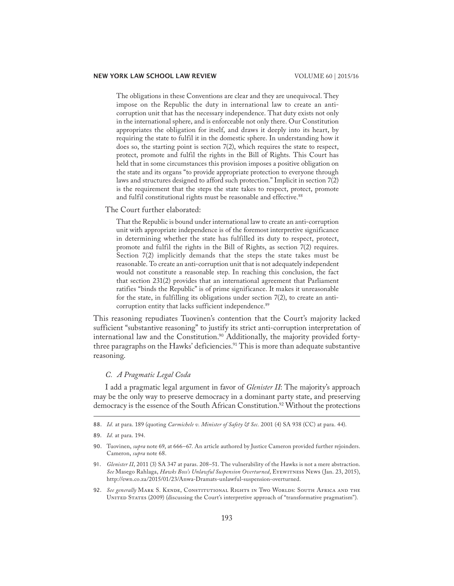The obligations in these Conventions are clear and they are unequivocal. They impose on the Republic the duty in international law to create an anticorruption unit that has the necessary independence. That duty exists not only in the international sphere, and is enforceable not only there. Our Constitution appropriates the obligation for itself, and draws it deeply into its heart, by requiring the state to fulfil it in the domestic sphere. In understanding how it does so, the starting point is section 7(2), which requires the state to respect, protect, promote and fulfil the rights in the Bill of Rights. This Court has held that in some circumstances this provision imposes a positive obligation on the state and its organs "to provide appropriate protection to everyone through laws and structures designed to afford such protection." Implicit in section 7(2) is the requirement that the steps the state takes to respect, protect, promote and fulfil constitutional rights must be reasonable and effective.<sup>88</sup>

The Court further elaborated:

That the Republic is bound under international law to create an anti-corruption unit with appropriate independence is of the foremost interpretive significance in determining whether the state has fulfilled its duty to respect, protect, promote and fulfil the rights in the Bill of Rights, as section 7(2) requires. Section 7(2) implicitly demands that the steps the state takes must be reasonable. To create an anti-corruption unit that is not adequately independent would not constitute a reasonable step. In reaching this conclusion, the fact that section 231(2) provides that an international agreement that Parliament ratifies "binds the Republic" is of prime significance. It makes it unreasonable for the state, in fulfilling its obligations under section 7(2), to create an anticorruption entity that lacks sufficient independence.<sup>89</sup>

This reasoning repudiates Tuovinen's contention that the Court's majority lacked sufficient "substantive reasoning" to justify its strict anti-corruption interpretation of international law and the Constitution.<sup>90</sup> Additionally, the majority provided fortythree paragraphs on the Hawks' deficiencies.<sup>91</sup> This is more than adequate substantive reasoning.

# *C. A Pragmatic Legal Coda*

I add a pragmatic legal argument in favor of *Glenister II*: The majority's approach may be the only way to preserve democracy in a dominant party state, and preserving democracy is the essence of the South African Constitution.<sup>92</sup> Without the protections

88. *Id.* at para. 189 (quoting *Carmichele v. Minister of Safety & Sec.* 2001 (4) SA 938 (CC) at para. 44).

92. See generally MARK S. KENDE, CONSTITUTIONAL RIGHTS IN TWO WORLDS: SOUTH AFRICA AND THE UNITED STATES (2009) (discussing the Court's interpretive approach of "transformative pragmatism").

<sup>89.</sup> *Id.* at para. 194.

<sup>90.</sup> Tuovinen, *supra* note 69, at 666–67. An article authored by Justice Cameron provided further rejoinders. Cameron, *supra* note 68.

<sup>91.</sup> *Glenister II*, 2011 (3) SA 347 at paras. 208–51. The vulnerability of the Hawks is not a mere abstraction. *See* Masego Rahlaga, *Hawks Boss's Unlawful Suspension Overturned*, Eyewitness News (Jan. 23, 2015), http://ewn.co.za/2015/01/23/Anwa-Dramats-unlawful-suspension-overturned.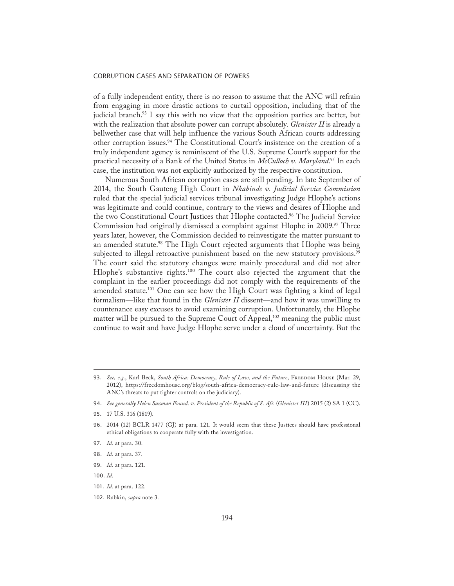of a fully independent entity, there is no reason to assume that the ANC will refrain from engaging in more drastic actions to curtail opposition, including that of the judicial branch.<sup>93</sup> I say this with no view that the opposition parties are better, but with the realization that absolute power can corrupt absolutely. *Glenister II* is already a bellwether case that will help influence the various South African courts addressing other corruption issues.<sup>94</sup> The Constitutional Court's insistence on the creation of a truly independent agency is reminiscent of the U.S. Supreme Court's support for the practical necessity of a Bank of the United States in *McCulloch v. Maryland*. 95 In each case, the institution was not explicitly authorized by the respective constitution.

Numerous South African corruption cases are still pending. In late September of 2014, the South Gauteng High Court in *Nkabinde v. Judicial Service Commission* ruled that the special judicial services tribunal investigating Judge Hlophe's actions was legitimate and could continue, contrary to the views and desires of Hlophe and the two Constitutional Court Justices that Hlophe contacted.96 The Judicial Service Commission had originally dismissed a complaint against Hlophe in 2009.97 Three years later, however, the Commission decided to reinvestigate the matter pursuant to an amended statute.<sup>98</sup> The High Court rejected arguments that Hlophe was being subjected to illegal retroactive punishment based on the new statutory provisions.<sup>99</sup> The court said the statutory changes were mainly procedural and did not alter Hlophe's substantive rights.100 The court also rejected the argument that the complaint in the earlier proceedings did not comply with the requirements of the amended statute.<sup>101</sup> One can see how the High Court was fighting a kind of legal formalism—like that found in the *Glenister II* dissent—and how it was unwilling to countenance easy excuses to avoid examining corruption. Unfortunately, the Hlophe matter will be pursued to the Supreme Court of Appeal,<sup>102</sup> meaning the public must continue to wait and have Judge Hlophe serve under a cloud of uncertainty. But the

- 99. *Id.* at para. 121.
- 100. *Id.*
- 101. *Id.* at para. 122.

<sup>93.</sup> See, e.g., Karl Beck, South Africa: Democracy, Rule of Law, and the Future, FREEDOM HOUSE (Mar. 29, 2012), https://freedomhouse.org/blog/south-africa-democracy-rule-law-and-future (discussing the ANC's threats to put tighter controls on the judiciary).

<sup>94.</sup> *See generally Helen Suzman Found. v. President of the Republic of S. Afr.* (*Glenister III*) 2015 (2) SA 1 (CC).

<sup>95.</sup> 17 U.S. 316 (1819).

<sup>96.</sup> 2014 (12) BCLR 1477 (GJ) at para. 121. It would seem that these Justices should have professional ethical obligations to cooperate fully with the investigation.

<sup>97.</sup> *Id.* at para. 30.

<sup>98.</sup> *Id.* at para. 37.

<sup>102.</sup> Rabkin, *supra* note 3.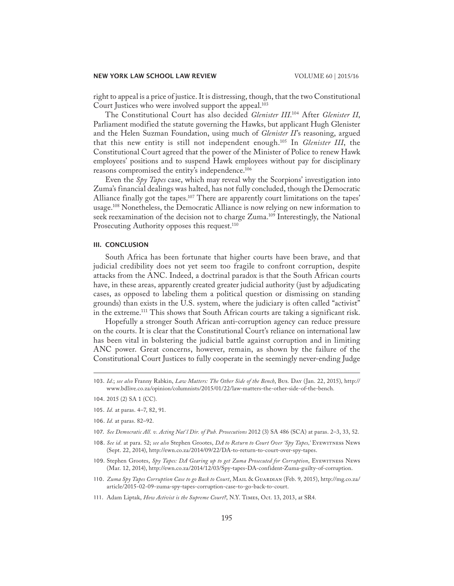right to appeal is a price of justice. It is distressing, though, that the two Constitutional Court Justices who were involved support the appeal.<sup>103</sup>

The Constitutional Court has also decided *Glenister III*. 104 After *Glenister II*, Parliament modified the statute governing the Hawks, but applicant Hugh Glenister and the Helen Suzman Foundation, using much of *Glenister II*'s reasoning, argued that this new entity is still not independent enough.105 In *Glenister III*, the Constitutional Court agreed that the power of the Minister of Police to renew Hawk employees' positions and to suspend Hawk employees without pay for disciplinary reasons compromised the entity's independence.106

Even the *Spy Tapes* case, which may reveal why the Scorpions' investigation into Zuma's financial dealings was halted, has not fully concluded, though the Democratic Alliance finally got the tapes.<sup>107</sup> There are apparently court limitations on the tapes' usage.<sup>108</sup> Nonetheless, the Democratic Alliance is now relying on new information to seek reexamination of the decision not to charge Zuma.109 Interestingly, the National Prosecuting Authority opposes this request.<sup>110</sup>

# III. CONCLUSION

South Africa has been fortunate that higher courts have been brave, and that judicial credibility does not yet seem too fragile to confront corruption, despite attacks from the ANC. Indeed, a doctrinal paradox is that the South African courts have, in these areas, apparently created greater judicial authority (just by adjudicating cases, as opposed to labeling them a political question or dismissing on standing grounds) than exists in the U.S. system, where the judiciary is often called "activist" in the extreme.111 This shows that South African courts are taking a significant risk.

Hopefully a stronger South African anti-corruption agency can reduce pressure on the courts. It is clear that the Constitutional Court's reliance on international law has been vital in bolstering the judicial battle against corruption and in limiting ANC power. Great concerns, however, remain, as shown by the failure of the Constitutional Court Justices to fully cooperate in the seemingly never-ending Judge

- 106. *Id.* at paras. 82–92.
- 107. *See Democratic All. v. Acting Nat'l Dir. of Pub. Prosecutions* 2012 (3) SA 486 (SCA) at paras. 2–3, 33, 52.
- 108. *See id.* at para. 52; *see also* Stephen Grootes, *DA to Return to Court Over 'Spy Tapes,'* Eyewitness News (Sept. 22, 2014), http://ewn.co.za/2014/09/22/DA-to-return-to-court-over-spy-tapes.
- 109. Stephen Grootes, *Spy Tapes: DA Gearing up to get Zuma Prosecuted for Corruption*, Eyewitness News (Mar. 12, 2014), http://ewn.co.za/2014/12/03/Spy-tapes-DA-confident-Zuma-guilty-of-corruption.
- 110. *Zuma Spy Tapes Corruption Case to go Back to Court*, Mail & Guardian (Feb. 9, 2015), http://mg.co.za/ article/2015-02-09-zuma-spy-tapes-corruption-case-to-go-back-to-court.
- 111. Adam Liptak, *How Activist is the Supreme Court?*, N.Y. Times, Oct. 13, 2013, at SR4.

<sup>103.</sup> *Id.*; *see also* Franny Rabkin, *Law Matters: The Other Side of the Bench*, Bus. Day (Jan. 22, 2015), http:// www.bdlive.co.za/opinion/columnists/2015/01/22/law-matters-the-other-side-of-the-bench*.*

<sup>104.</sup> 2015 (2) SA 1 (CC).

<sup>105.</sup> *Id.* at paras. 4–7, 82, 91.